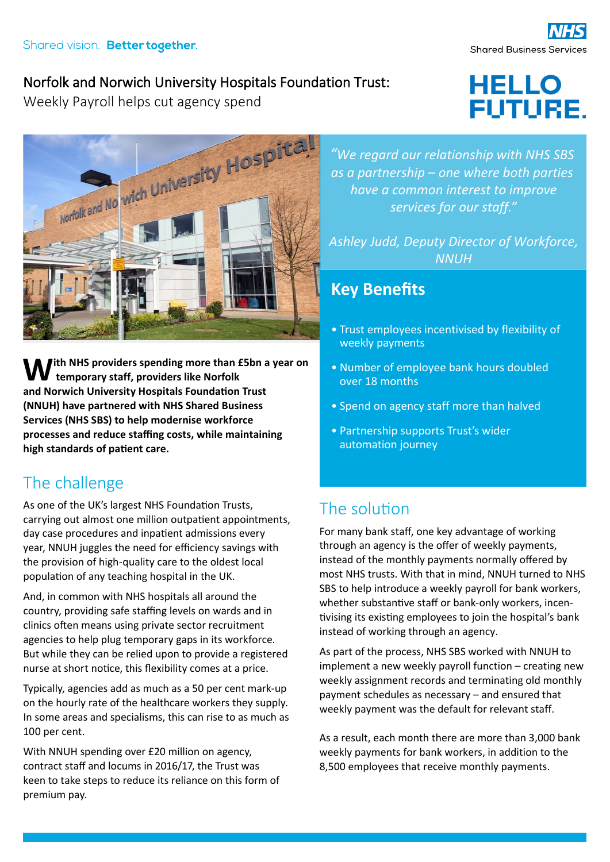#### Norfolk and Norwich University Hospitals Foundation Trust:

Weekly Payroll helps cut agency spend



**temporary staff, providers like Norfolk and Norwich University Hospitals Foundation Trust ith NHS providers spending more than £5bn a year on (NNUH) have partnered with NHS Shared Business Services (NHS SBS) to help modernise workforce processes and reduce staffing costs, while maintaining high standards of patient care.** 

## The challenge

As one of the UK's largest NHS Foundation Trusts, carrying out almost one million outpatient appointments, day case procedures and inpatient admissions every year, NNUH juggles the need for efficiency savings with the provision of high-quality care to the oldest local population of any teaching hospital in the UK.

And, in common with NHS hospitals all around the country, providing safe staffing levels on wards and in clinics often means using private sector recruitment agencies to help plug temporary gaps in its workforce. But while they can be relied upon to provide a registered nurse at short notice, this flexibility comes at a price.

Typically, agencies add as much as a 50 per cent mark-up on the hourly rate of the healthcare workers they supply. In some areas and specialisms, this can rise to as much as 100 per cent.

With NNUH spending over £20 million on agency, contract staff and locums in 2016/17, the Trust was keen to take steps to reduce its reliance on this form of premium pay.

*"We regard our relationship with NHS SBS as a partnership – one where both parties have a common interest to improve services for our staff."*

*Ashley Judd, Deputy Director of Workforce, NNUH*

#### **Key Benefits**

- Trust employees incentivised by flexibility of weekly payments
- Number of employee bank hours doubled over 18 months
- Spend on agency staff more than halved
- Partnership supports Trust's wider automation journey

# The solution

For many bank staff, one key advantage of working through an agency is the offer of weekly payments, instead of the monthly payments normally offered by most NHS trusts. With that in mind, NNUH turned to NHS SBS to help introduce a weekly payroll for bank workers, whether substantive staff or bank-only workers, incentivising its existing employees to join the hospital's bank instead of working through an agency.

As part of the process, NHS SBS worked with NNUH to implement a new weekly payroll function – creating new weekly assignment records and terminating old monthly payment schedules as necessary – and ensured that weekly payment was the default for relevant staff.

As a result, each month there are more than 3,000 bank weekly payments for bank workers, in addition to the 8,500 employees that receive monthly payments.

**FUTURE.** 

**HELLO**